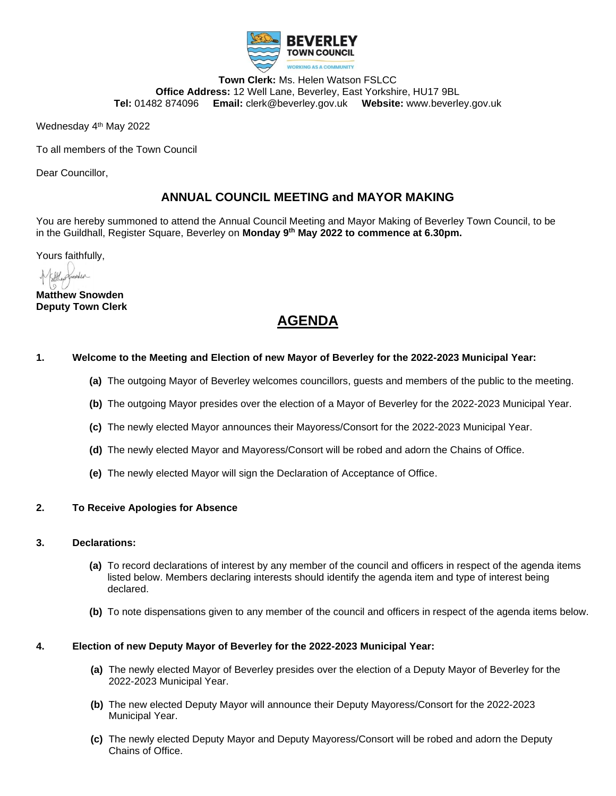

**Town Clerk:** Ms. Helen Watson FSLCC **Office Address:** 12 Well Lane, Beverley, East Yorkshire, HU17 9BL **Tel:** 01482 874096 **Email:** clerk@beverley.gov.uk **Website:** www.beverley.gov.uk

Wednesday 4<sup>th</sup> May 2022

To all members of the Town Council

Dear Councillor,

#### **ANNUAL COUNCIL MEETING and MAYOR MAKING**

You are hereby summoned to attend the Annual Council Meeting and Mayor Making of Beverley Town Council, to be in the Guildhall, Register Square, Beverley on **Monday 9th May 2022 to commence at 6.30pm.**

Yours faithfully,

**Matthew Snowden Deputy Town Clerk**

### **AGENDA**

#### **1. Welcome to the Meeting and Election of new Mayor of Beverley for the 2022-2023 Municipal Year:**

- **(a)** The outgoing Mayor of Beverley welcomes councillors, guests and members of the public to the meeting.
- **(b)** The outgoing Mayor presides over the election of a Mayor of Beverley for the 2022-2023 Municipal Year.
- **(c)** The newly elected Mayor announces their Mayoress/Consort for the 2022-2023 Municipal Year.
- **(d)** The newly elected Mayor and Mayoress/Consort will be robed and adorn the Chains of Office.
- **(e)** The newly elected Mayor will sign the Declaration of Acceptance of Office.

#### **2. To Receive Apologies for Absence**

- **3. Declarations:**
	- **(a)** To record declarations of interest by any member of the council and officers in respect of the agenda items listed below. Members declaring interests should identify the agenda item and type of interest being declared.
	- **(b)** To note dispensations given to any member of the council and officers in respect of the agenda items below.

#### **4. Election of new Deputy Mayor of Beverley for the 2022-2023 Municipal Year:**

- **(a)** The newly elected Mayor of Beverley presides over the election of a Deputy Mayor of Beverley for the 2022-2023 Municipal Year.
- **(b)** The new elected Deputy Mayor will announce their Deputy Mayoress/Consort for the 2022-2023 Municipal Year.
- **(c)** The newly elected Deputy Mayor and Deputy Mayoress/Consort will be robed and adorn the Deputy Chains of Office.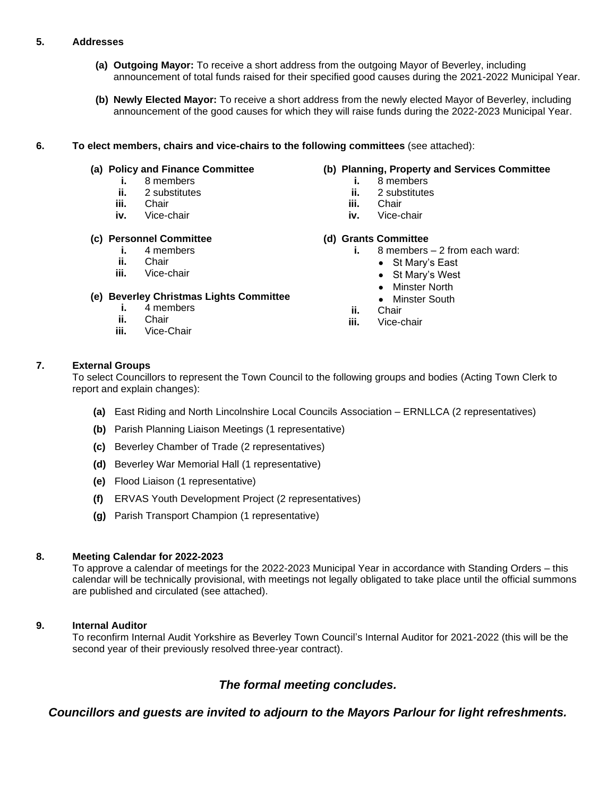#### **5. Addresses**

- **(a) Outgoing Mayor:** To receive a short address from the outgoing Mayor of Beverley, including announcement of total funds raised for their specified good causes during the 2021-2022 Municipal Year.
- **(b) Newly Elected Mayor:** To receive a short address from the newly elected Mayor of Beverley, including announcement of the good causes for which they will raise funds during the 2022-2023 Municipal Year.

#### **6. To elect members, chairs and vice-chairs to the following committees** (see attached):

#### **(a) Policy and Finance Committee**

- **i.** 8 members
- **ii.** 2 substitutes
- **iii.** Chair
- **iv.** Vice-chair

#### **(c) Personnel Committee**

- **i.** 4 members
- **ii.** Chair
- **iii.** Vice-chair

#### **(e) Beverley Christmas Lights Committee**

- **i.** 4 members
- **ii.** Chair
- **iii.** Vice-Chair

#### **(b) Planning, Property and Services Committee**

- **i.** 8 members
- **ii.** 2 substitutes
- **iii.** Chair
- **iv.** Vice-chair

#### **(d) Grants Committee**

- **i.** 8 members 2 from each ward:
	- St Mary's East
	- St Mary's West
	- Minster North
	- Minster South
- **ii.** Chair
- **iii.** Vice-chair

#### **7. External Groups**

To select Councillors to represent the Town Council to the following groups and bodies (Acting Town Clerk to report and explain changes):

- **(a)** East Riding and North Lincolnshire Local Councils Association ERNLLCA (2 representatives)
- **(b)** Parish Planning Liaison Meetings (1 representative)
- **(c)** Beverley Chamber of Trade (2 representatives)
- **(d)** Beverley War Memorial Hall (1 representative)
- **(e)** Flood Liaison (1 representative)
- **(f)** ERVAS Youth Development Project (2 representatives)
- **(g)** Parish Transport Champion (1 representative)

#### **8. Meeting Calendar for 2022-2023**

To approve a calendar of meetings for the 2022-2023 Municipal Year in accordance with Standing Orders – this calendar will be technically provisional, with meetings not legally obligated to take place until the official summons are published and circulated (see attached).

#### **9. Internal Auditor**

To reconfirm Internal Audit Yorkshire as Beverley Town Council's Internal Auditor for 2021-2022 (this will be the second year of their previously resolved three-year contract).

#### *The formal meeting concludes.*

*Councillors and guests are invited to adjourn to the Mayors Parlour for light refreshments.*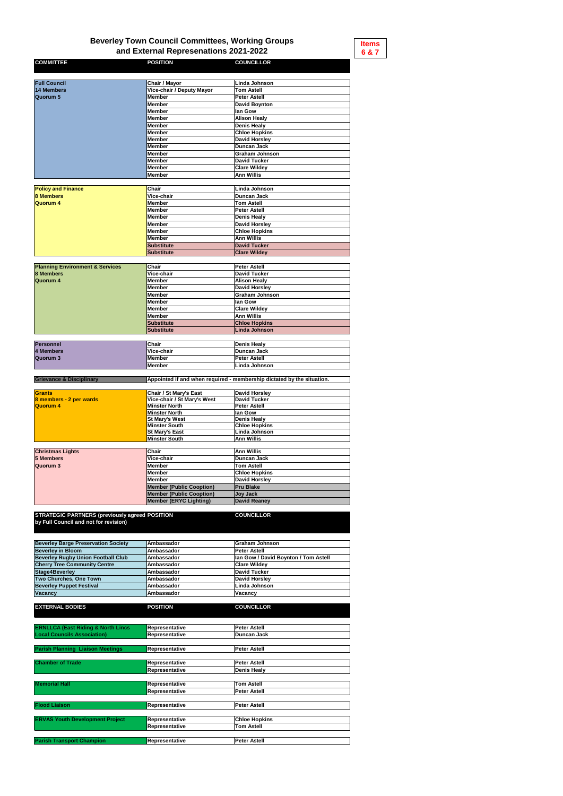| <b>COMMITTEE</b>          | <b>POSITION</b>                  | <b>COUNCILLOR</b>     |
|---------------------------|----------------------------------|-----------------------|
|                           |                                  |                       |
| <b>Full Council</b>       | <b>Chair / Mayor</b>             | Linda Johnson         |
| 14 Members                | <b>Vice-chair / Deputy Mayor</b> | <b>Tom Astell</b>     |
| Quorum 5                  | <b>Member</b>                    | <b>Peter Astell</b>   |
|                           | <b>Member</b>                    | <b>David Boynton</b>  |
|                           | <b>Member</b>                    | lan Gow               |
|                           | <b>Member</b>                    | <b>Alison Healy</b>   |
|                           | <b>Member</b>                    | <b>Denis Healy</b>    |
|                           | <b>Member</b>                    | <b>Chloe Hopkins</b>  |
|                           | <b>Member</b>                    | <b>David Horsley</b>  |
|                           | <b>Member</b>                    | <b>Duncan Jack</b>    |
|                           | <b>Member</b>                    | <b>Graham Johnson</b> |
|                           | <b>Member</b>                    | <b>David Tucker</b>   |
|                           | <b>Member</b>                    | <b>Clare Wildey</b>   |
|                           | <b>Member</b>                    | <b>Ann Willis</b>     |
|                           |                                  |                       |
| <b>Policy and Finance</b> | <b>Chair</b>                     | Linda Johnson         |
| <b>8 Members</b>          | <b>Vice-chair</b>                | <b>Duncan Jack</b>    |
| <b>Quorum 4</b>           | <b>Member</b>                    | <b>Tom Astell</b>     |
|                           | <b>Member</b>                    | <b>Peter Astell</b>   |
|                           | <b>Member</b>                    | <b>Denis Healy</b>    |
|                           | <b>Member</b>                    | <b>David Horsley</b>  |
|                           | <b>Member</b>                    | <b>Chloe Hopkins</b>  |
|                           | <b>Member</b>                    | <b>Ann Willis</b>     |
|                           | <b>Substitute</b>                | <b>David Tucker</b>   |
|                           | <b>Substitute</b>                | <b>Clare Wildey</b>   |

| <b>Planning Environment &amp; Services</b> | <b>Chair</b>      | <b>Peter Astell</b>   |
|--------------------------------------------|-------------------|-----------------------|
| <b>8 Members</b>                           | <b>Vice-chair</b> | <b>David Tucker</b>   |
| Quorum 4                                   | <b>Member</b>     | <b>Alison Healy</b>   |
|                                            | <b>Member</b>     | David Horsley         |
|                                            | <b>Member</b>     | <b>Graham Johnson</b> |
|                                            | <b>Member</b>     | lan Gow               |
|                                            | <b>Member</b>     | <b>Clare Wildey</b>   |
|                                            | <b>Member</b>     | Ann Willis            |
|                                            | Substitute        | <b>Chloe Hopkins</b>  |
|                                            | <b>Substitute</b> | <b>Linda Johnson</b>  |

| <b>Personnel</b> | <b>Chair</b>      | Denis Healy         |
|------------------|-------------------|---------------------|
| 4 Members        | <b>Vice-chair</b> | <b>IDuncan Jack</b> |
| Quorum 3         | <b>Member</b>     | <b>Peter Astell</b> |
|                  | /Member           | ∣Linda Johnson      |

| <b>Grants</b>           | <b>Chair / St Mary's East</b>      | David Horsley        |
|-------------------------|------------------------------------|----------------------|
| 8 members - 2 per wards | <b>Vice-chair / St Mary's West</b> | David Tucker         |
| Quorum 4                | <b>Minster North</b>               | <b>Peter Astell</b>  |
|                         | <b>Minster North</b>               | <b>Ilan Gow</b>      |
|                         | <b>St Mary's West</b>              | Denis Healy          |
|                         | <b>Minster South</b>               | <b>Chloe Hopkins</b> |
|                         | <b>St Mary's East</b>              | Linda Johnson        |
|                         | Minster South                      | Ann Willis           |

| <b>Christmas Lights</b> | <b>Chair</b>                    | Ann Willis           |
|-------------------------|---------------------------------|----------------------|
| 5 Members               | <b>Vice-chair</b>               | Duncan Jack          |
| Quorum 3                | Member                          | <b>Tom Astell</b>    |
|                         | Member                          | <b>Chloe Hopkins</b> |
|                         | Member                          | David Horsley        |
|                         | <b>Member (Public Cooption)</b> | <b>Pru Blake</b>     |
|                         | Member (Public Cooption)        | Joy Jack             |
|                         | <b>Member (ERYC Lighting)</b>   | David Reaney         |

**STRATEGIC PARTNERS (previously agreed by Full Council and not for revision)**

**POSITION COUNCILLOR**

| <b>Beverley Barge Preservation Society</b> | <b>Ambassador</b> | <b>Graham Johnson</b>                |
|--------------------------------------------|-------------------|--------------------------------------|
| <b>Beverley in Bloom</b>                   | <b>Ambassador</b> | <b>Peter Astell</b>                  |
| <b>Beverley Rugby Union Football Club</b>  | <b>Ambassador</b> | Ian Gow / David Boynton / Tom Astell |
| <b>Cherry Tree Community Centre</b>        | <b>Ambassador</b> | <b>Clare Wildey</b>                  |
| Stage4Beverley                             | <b>Ambassador</b> | David Tucker                         |
| <b>Two Churches, One Town</b>              | <b>Ambassador</b> | David Horsley                        |
| <b>Beverley Puppet Festival</b>            | <b>Ambassador</b> | Linda Johnson                        |
| <b>Vacancy</b>                             | <b>Ambassador</b> | <b>Vacancy</b>                       |

**Grievance & Disciplinary Appointed if and when required - membership dictated by the situation.**

| <b>EXTERNAL BODIES</b>                        | <b>POSITION</b>                                | <b>COUNCILLOR</b>    |
|-----------------------------------------------|------------------------------------------------|----------------------|
|                                               |                                                |                      |
| <b>ERNLLCA (East Riding &amp; North Lincs</b> | <b>Representative</b>                          | <b>Peter Astell</b>  |
| <b>Local Councils Association)</b>            | Representative                                 | <b>Duncan Jack</b>   |
| <b>Parish Planning Liaison Meetings</b>       | <b>Representative</b>                          | <b>Peter Astell</b>  |
| <b>Chamber of Trade</b>                       | <b>Representative</b>                          | <b>Peter Astell</b>  |
|                                               | <b>Representative</b>                          | <b>Denis Healy</b>   |
| <b>Memorial Hall</b>                          |                                                | <b>Tom Astell</b>    |
|                                               | <b>Representative</b><br><b>Representative</b> | <b>Peter Astell</b>  |
|                                               |                                                |                      |
| <b>Flood Liaison</b>                          | <b>Representative</b>                          | <b>Peter Astell</b>  |
| <b>ERVAS Youth Development Project</b>        | Representative                                 | <b>Chloe Hopkins</b> |
|                                               | <b>Representative</b>                          | <b>Tom Astell</b>    |
| <b>Parish Transport Champion</b>              | <b>Representative</b>                          | <b>Peter Astell</b>  |

## **Beverley Town Council Committees, Working Groups and External Represenations 2021-2022**

**Items 6 & 7**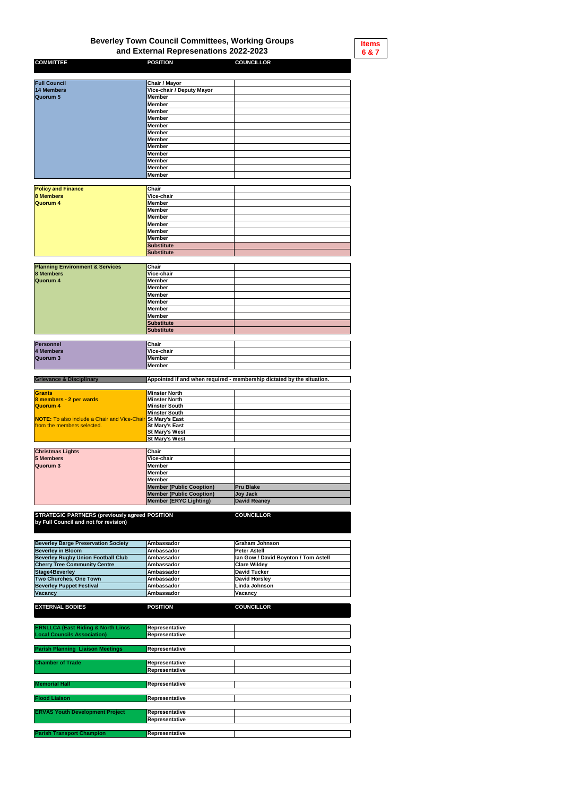| <b>COMMITTEE</b>          | <b>POSITION</b>                  | <b>COUNCILLOR</b> |
|---------------------------|----------------------------------|-------------------|
|                           |                                  |                   |
| <b>Full Council</b>       | Chair / Mayor                    |                   |
| 14 Members                | <b>Vice-chair / Deputy Mayor</b> |                   |
| Quorum 5                  | <b>Member</b>                    |                   |
|                           | <b>Member</b>                    |                   |
|                           | <b>Member</b>                    |                   |
|                           | <b>Member</b>                    |                   |
|                           | <b>Member</b>                    |                   |
|                           | <b>Member</b>                    |                   |
|                           | <b>Member</b>                    |                   |
|                           | <b>Member</b>                    |                   |
|                           | <b>Member</b>                    |                   |
|                           | <b>Member</b>                    |                   |
|                           | <b>Member</b>                    |                   |
|                           | <b>Member</b>                    |                   |
|                           |                                  |                   |
| <b>Policy and Finance</b> | <b>Chair</b>                     |                   |
| <b>8 Members</b>          | Vice-chair                       |                   |
| <b>Quorum 4</b>           | <b>Member</b>                    |                   |
|                           | Member                           |                   |
|                           | <b>Member</b>                    |                   |
|                           | Member                           |                   |
|                           | <b>Member</b>                    |                   |
|                           | <b>Member</b>                    |                   |
|                           | <b>Substitute</b>                |                   |
|                           | <b>Substitute</b>                |                   |
|                           |                                  |                   |

| <b>Planning Environment &amp; Services</b> | <b>Chair</b> |  |
|--------------------------------------------|--------------|--|
| <b>8 Members</b>                           | Vice-chair   |  |
| Quorum 4                                   | Member       |  |
|                                            | Member       |  |
|                                            | Member       |  |
|                                            | Member       |  |
|                                            | Member       |  |
|                                            | Member       |  |
|                                            | Substitute   |  |
|                                            | Substitute   |  |

| <b>Personnel</b> | <b>Chair</b>  |  |
|------------------|---------------|--|
| 4 Members        | Vice-chair    |  |
| Quorum 3         | <b>Member</b> |  |
|                  | <b>Member</b> |  |

**Grievance & Disciplinary** 

| <b>Christmas Lights</b> | <b>Chair</b>                    |                  |
|-------------------------|---------------------------------|------------------|
| 5 Members               | <b>Vice-chair</b>               |                  |
| Quorum 3                | <b>Member</b>                   |                  |
|                         | Member                          |                  |
|                         | <b>Member</b>                   |                  |
|                         | <b>Member (Public Cooption)</b> | <b>Pru Blake</b> |
|                         | <b>Member (Public Cooption)</b> | Joy Jack         |
|                         | <b>Member (ERYC Lighting)</b>   | David Reaney     |

**STRATEGIC PARTNERS (previously agreed by Full Council and not for revision)**

**POSITION COUNCILLOR**

| <b>Beverley Barge Preservation Society</b> | Ambassador        | Graham Johnson                               |
|--------------------------------------------|-------------------|----------------------------------------------|
| <b>Beverley in Bloom</b>                   | <b>Ambassador</b> | <b>Peter Astell</b>                          |
| <b>Beverley Rugby Union Football Club</b>  | <b>Ambassador</b> | <b>Ilan Gow / David Boynton / Tom Astell</b> |
| <b>Cherry Tree Community Centre</b>        | <b>Ambassador</b> | <b>Clare Wildey</b>                          |
| <b>Stage4Beverley</b>                      | <b>Ambassador</b> | David Tucker                                 |
| <b>Two Churches, One Town</b>              | <b>Ambassador</b> | David Horsley                                |
| <b>Beverley Puppet Festival</b>            | <b>Ambassador</b> | Linda Johnson                                |
| <b>Vacancy</b>                             | <b>Ambassador</b> | <b>Vacancy</b>                               |

| <b>EXTERNAL BODIES</b>                        | <b>POSITION</b>       | <b>COUNCILLOR</b> |  |  |  |  |
|-----------------------------------------------|-----------------------|-------------------|--|--|--|--|
|                                               |                       |                   |  |  |  |  |
| <b>ERNLLCA (East Riding &amp; North Lincs</b> | Representative        |                   |  |  |  |  |
| <b>Local Councils Association)</b>            | Representative        |                   |  |  |  |  |
|                                               |                       |                   |  |  |  |  |
| <b>Parish Planning Liaison Meetings</b>       | Representative        |                   |  |  |  |  |
|                                               |                       |                   |  |  |  |  |
| <b>Chamber of Trade</b>                       | Representative        |                   |  |  |  |  |
|                                               | Representative        |                   |  |  |  |  |
|                                               |                       |                   |  |  |  |  |
| <b>Memorial Hall</b>                          | Representative        |                   |  |  |  |  |
|                                               |                       |                   |  |  |  |  |
| <b>Flood Liaison</b>                          | Representative        |                   |  |  |  |  |
|                                               |                       |                   |  |  |  |  |
| <b>ERVAS Youth Development Project</b>        | Representative        |                   |  |  |  |  |
|                                               | <b>Representative</b> |                   |  |  |  |  |
|                                               |                       |                   |  |  |  |  |
| <b>Parish Transport Champion</b>              | Representative        |                   |  |  |  |  |

## **Beverley Town Council Committees, Working Groups and External Represenations 2022-2023**

**Appointed if and when required - membership dictated by the situation.**

| <b>Grants</b>                                                      | <b>Minster North</b>  |  |
|--------------------------------------------------------------------|-----------------------|--|
| 8 members - 2 per wards                                            | <b>Minster North</b>  |  |
| Quorum 4                                                           | <b>Minster South</b>  |  |
|                                                                    | <b>Minster South</b>  |  |
| <b>NOTE:</b> To also include a Chair and Vice-Chair St Mary's East |                       |  |
| from the members selected.                                         | <b>St Mary's East</b> |  |
|                                                                    | <b>St Mary's West</b> |  |
|                                                                    | <b>St Mary's West</b> |  |

**Items 6 & 7**